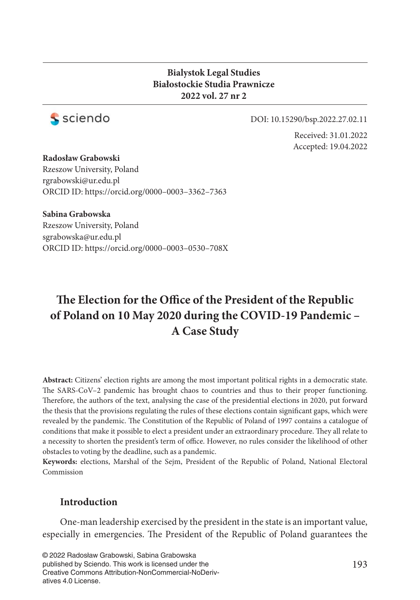#### **Bialystok Legal Studies Białostockie Studia Prawnicze 2022 vol. 27 nr 2**



DOI: 10.15290/bsp.2022.27.02.11

Received: 31.01.2022 Accepted: 19.04.2022

**Radosław Grabowski** Rzeszow University, Poland rgrabowski@ur.edu.pl ORCID ID: https://orcid.org/0000–0003–3362–7363

**Sabina Grabowska** Rzeszow University, Poland sgrabowska@ur.edu.pl ORCID ID: https://orcid.org/0000–0003–0530–708X

# The Election for the Office of the President of the Republic **of Poland on 10 May 2020 during the COVID-19 Pandemic – A Case Study**

**Abstract:** Citizens' election rights are among the most important political rights in a democratic state. The SARS-CoV–2 pandemic has brought chaos to countries and thus to their proper functioning. Therefore, the authors of the text, analysing the case of the presidential elections in 2020, put forward the thesis that the provisions regulating the rules of these elections contain significant gaps, which were revealed by the pandemic. The Constitution of the Republic of Poland of 1997 contains a catalogue of conditions that make it possible to elect a president under an extraordinary procedure. They all relate to a necessity to shorten the president's term of office. However, no rules consider the likelihood of other obstacles to voting by the deadline, such as a pandemic.

**Keywords:** elections, Marshal of the Sejm, President of the Republic of Poland, National Electoral Commission

### **Introduction**

One-man leadership exercised by the president in the state is an important value, especially in emergencies. The President of the Republic of Poland guarantees the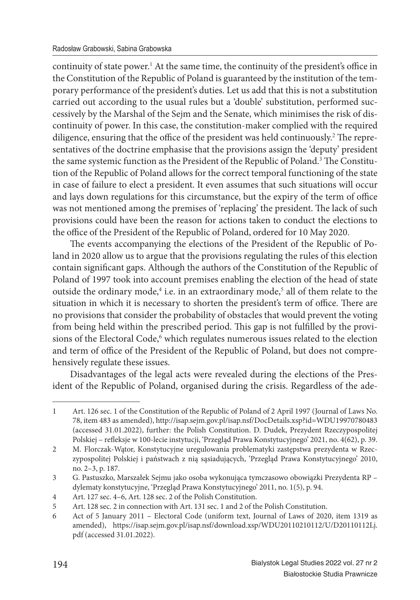continuity of state power.<sup>1</sup> At the same time, the continuity of the president's office in the Constitution of the Republic of Poland is guaranteed by the institution of the temporary performance of the president's duties. Let us add that this is not a substitution carried out according to the usual rules but a 'double' substitution, performed successively by the Marshal of the Sejm and the Senate, which minimises the risk of discontinuity of power. In this case, the constitution-maker complied with the required diligence, ensuring that the office of the president was held continuously.<sup>2</sup> The representatives of the doctrine emphasise that the provisions assign the 'deputy' president the same systemic function as the President of the Republic of Poland.<sup>3</sup> The Constitution of the Republic of Poland allows for the correct temporal functioning of the state in case of failure to elect a president. It even assumes that such situations will occur and lays down regulations for this circumstance, but the expiry of the term of office was not mentioned among the premises of 'replacing' the president. The lack of such provisions could have been the reason for actions taken to conduct the elections to the office of the President of the Republic of Poland, ordered for 10 May 2020.

The events accompanying the elections of the President of the Republic of Poland in 2020 allow us to argue that the provisions regulating the rules of this election contain significant gaps. Although the authors of the Constitution of the Republic of Poland of 1997 took into account premises enabling the election of the head of state outside the ordinary mode,<sup>4</sup> i.e. in an extraordinary mode,<sup>5</sup> all of them relate to the situation in which it is necessary to shorten the president's term of office. There are no provisions that consider the probability of obstacles that would prevent the voting from being held within the prescribed period. This gap is not fulfilled by the provisions of the Electoral Code,<sup>6</sup> which regulates numerous issues related to the election and term of office of the President of the Republic of Poland, but does not comprehensively regulate these issues.

Disadvantages of the legal acts were revealed during the elections of the President of the Republic of Poland, organised during the crisis. Regardless of the ade-

<sup>1</sup> Art. 126 sec. 1 of the Constitution of the Republic of Poland of 2 April 1997 (Journal of Laws No. 78, item 483 as amended), http://isap.sejm.gov.pl/isap.nsf/DocDetails.xsp?id=WDU19970780483 (accessed 31.01.2022), further: the Polish Constitution. D. Dudek, Prezydent Rzeczypospolitej Polskiej – refleksje w 100-lecie instytucji, 'Przegląd Prawa Konstytucyjnego' 2021, no. 4(62), p. 39.

<sup>2</sup> M. Florczak-Wątor, Konstytucyjne uregulowania problematyki zastępstwa prezydenta w Rzeczypospolitej Polskiej i państwach z nią sąsiadujących, 'Przegląd Prawa Konstytucyjnego' 2010, no. 2–3, p. 187.

<sup>3</sup> G. Pastuszko, Marszałek Sejmu jako osoba wykonująca tymczasowo obowiązki Prezydenta RP – dylematy konstytucyjne, 'Przegląd Prawa Konstytucyjnego' 2011, no. 1(5), p. 94.

<sup>4</sup> Art. 127 sec. 4–6, Art. 128 sec. 2 of the Polish Constitution.

<sup>5</sup> Art. 128 sec. 2 in connection with Art. 131 sec. 1 and 2 of the Polish Constitution.

<sup>6</sup> Act of 5 January 2011 – Electoral Code (uniform text, Journal of Laws of 2020, item 1319 as amended), https://isap.sejm.gov.pl/isap.nsf/download.xsp/WDU20110210112/U/D20110112Lj. pdf (accessed 31.01.2022).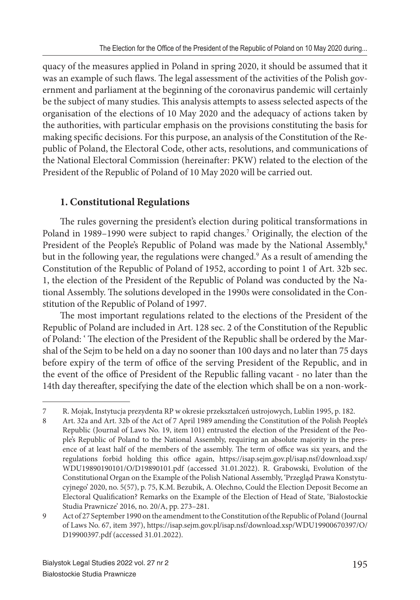quacy of the measures applied in Poland in spring 2020, it should be assumed that it was an example of such flaws. The legal assessment of the activities of the Polish government and parliament at the beginning of the coronavirus pandemic will certainly be the subject of many studies. This analysis attempts to assess selected aspects of the organisation of the elections of 10 May 2020 and the adequacy of actions taken by the authorities, with particular emphasis on the provisions constituting the basis for making specific decisions. For this purpose, an analysis of the Constitution of the Republic of Poland, the Electoral Code, other acts, resolutions, and communications of the National Electoral Commission (hereinafter: PKW) related to the election of the President of the Republic of Poland of 10 May 2020 will be carried out.

# **1. Constitutional Regulations**

The rules governing the president's election during political transformations in Poland in 1989–1990 were subject to rapid changes.<sup>7</sup> Originally, the election of the President of the People's Republic of Poland was made by the National Assembly,<sup>8</sup> but in the following year, the regulations were changed.<sup>9</sup> As a result of amending the Constitution of the Republic of Poland of 1952, according to point 1 of Art. 32b sec. 1, the election of the President of the Republic of Poland was conducted by the National Assembly. The solutions developed in the 1990s were consolidated in the Constitution of the Republic of Poland of 1997.

The most important regulations related to the elections of the President of the Republic of Poland are included in Art. 128 sec. 2 of the Constitution of the Republic of Poland: 'The election of the President of the Republic shall be ordered by the Marshal of the Sejm to be held on a day no sooner than 100 days and no later than 75 days before expiry of the term of office of the serving President of the Republic, and in the event of the office of President of the Republic falling vacant - no later than the 14th day thereafter, specifying the date of the election which shall be on a non-work-

<sup>7</sup> R. Mojak, Instytucja prezydenta RP w okresie przekształceń ustrojowych, Lublin 1995, p. 182.

<sup>8</sup> Art. 32a and Art. 32b of the Act of 7 April 1989 amending the Constitution of the Polish People's Republic (Journal of Laws No. 19, item 101) entrusted the election of the President of the People's Republic of Poland to the National Assembly, requiring an absolute majority in the presence of at least half of the members of the assembly. The term of office was six years, and the regulations forbid holding this office again, https://isap.sejm.gov.pl/isap.nsf/download.xsp/ WDU19890190101/O/D19890101.pdf (accessed 31.01.2022). R. Grabowski, Evolution of the Constitutional Organ on the Example of the Polish National Assembly, 'Przegląd Prawa Konstytucyjnego' 2020, no. 5(57), p. 75, K.M. Bezubik, A. Olechno, Could the Election Deposit Become an Electoral Qualification? Remarks on the Example of the Election of Head of State, 'Białostockie Studia Prawnicze' 2016, no. 20/A, pp. 273–281.

<sup>9</sup> Act of 27 September 1990 on the amendment to the Constitution of the Republic of Poland (Journal of Laws No. 67, item 397), https://isap.sejm.gov.pl/isap.nsf/download.xsp/WDU19900670397/O/ D19900397.pdf (accessed 31.01.2022).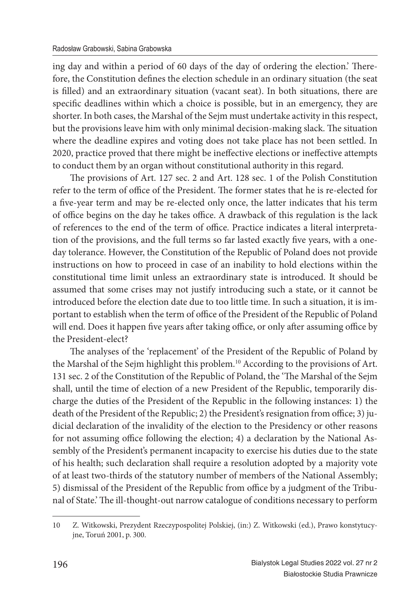ing day and within a period of 60 days of the day of ordering the election.' Therefore, the Constitution defines the election schedule in an ordinary situation (the seat is filled) and an extraordinary situation (vacant seat). In both situations, there are specific deadlines within which a choice is possible, but in an emergency, they are shorter. In both cases, the Marshal of the Sejm must undertake activity in this respect, but the provisions leave him with only minimal decision-making slack. The situation where the deadline expires and voting does not take place has not been settled. In 2020, practice proved that there might be ineffective elections or ineffective attempts to conduct them by an organ without constitutional authority in this regard.

The provisions of Art. 127 sec. 2 and Art. 128 sec. 1 of the Polish Constitution refer to the term of office of the President. The former states that he is re-elected for a five-year term and may be re-elected only once, the latter indicates that his term of office begins on the day he takes office. A drawback of this regulation is the lack of references to the end of the term of office. Practice indicates a literal interpretation of the provisions, and the full terms so far lasted exactly five years, with a oneday tolerance. However, the Constitution of the Republic of Poland does not provide instructions on how to proceed in case of an inability to hold elections within the constitutional time limit unless an extraordinary state is introduced. It should be assumed that some crises may not justify introducing such a state, or it cannot be introduced before the election date due to too little time. In such a situation, it is important to establish when the term of office of the President of the Republic of Poland will end. Does it happen five years after taking office, or only after assuming office by the President-elect?

The analyses of the 'replacement' of the President of the Republic of Poland by the Marshal of the Sejm highlight this problem.<sup>10</sup> According to the provisions of Art. 131 sec. 2 of the Constitution of the Republic of Poland, the 'The Marshal of the Sejm shall, until the time of election of a new President of the Republic, temporarily discharge the duties of the President of the Republic in the following instances: 1) the death of the President of the Republic; 2) the President's resignation from office; 3) judicial declaration of the invalidity of the election to the Presidency or other reasons for not assuming office following the election; 4) a declaration by the National Assembly of the President's permanent incapacity to exercise his duties due to the state of his health; such declaration shall require a resolution adopted by a majority vote of at least two-thirds of the statutory number of members of the National Assembly; 5) dismissal of the President of the Republic from office by a judgment of the Tribunal of State.' The ill-thought-out narrow catalogue of conditions necessary to perform

<sup>10</sup> Z. Witkowski, Prezydent Rzeczypospolitej Polskiej, (in:) Z. Witkowski (ed.), Prawo konstytucyjne, Toruń 2001, p. 300.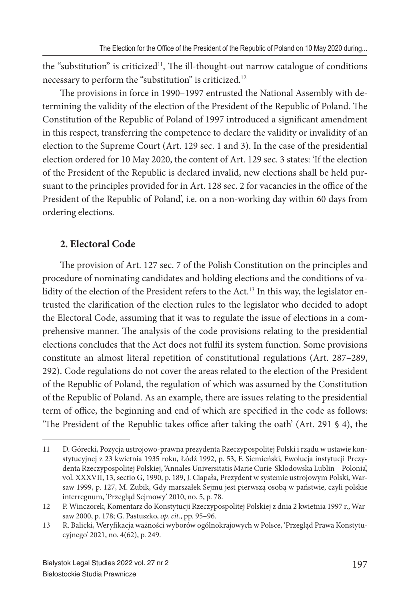the "substitution" is criticized<sup>11</sup>, The ill-thought-out narrow catalogue of conditions necessary to perform the "substitution" is criticized.<sup>12</sup>

The provisions in force in 1990–1997 entrusted the National Assembly with determining the validity of the election of the President of the Republic of Poland. The Constitution of the Republic of Poland of 1997 introduced a significant amendment in this respect, transferring the competence to declare the validity or invalidity of an election to the Supreme Court (Art. 129 sec. 1 and 3). In the case of the presidential election ordered for 10 May 2020, the content of Art. 129 sec. 3 states: 'If the election of the President of the Republic is declared invalid, new elections shall be held pursuant to the principles provided for in Art. 128 sec. 2 for vacancies in the office of the President of the Republic of Poland', i.e. on a non-working day within 60 days from ordering elections.

### **2. Electoral Code**

The provision of Art. 127 sec. 7 of the Polish Constitution on the principles and procedure of nominating candidates and holding elections and the conditions of validity of the election of the President refers to the Act.<sup>13</sup> In this way, the legislator entrusted the clarification of the election rules to the legislator who decided to adopt the Electoral Code, assuming that it was to regulate the issue of elections in a comprehensive manner. The analysis of the code provisions relating to the presidential elections concludes that the Act does not fulfil its system function. Some provisions constitute an almost literal repetition of constitutional regulations (Art. 287–289, 292). Code regulations do not cover the areas related to the election of the President of the Republic of Poland, the regulation of which was assumed by the Constitution of the Republic of Poland. As an example, there are issues relating to the presidential term of office, the beginning and end of which are specified in the code as follows: 'The President of the Republic takes office after taking the oath' (Art. 291  $\frac{6}{9}$  4), the

<sup>11</sup> D. Górecki, Pozycja ustrojowo-prawna prezydenta Rzeczypospolitej Polski i rządu w ustawie konstytucyjnej z 23 kwietnia 1935 roku, Łódź 1992, p. 53, F. Siemieński, Ewolucja instytucji Prezydenta Rzeczypospolitej Polskiej, 'Annales Universitatis Marie Curie-Sklodowska Lublin – Polonia', vol. XXXVII, 13, sectio G, 1990, p. 189, J. Ciapała, Prezydent w systemie ustrojowym Polski, Warsaw 1999, p. 127, M. Zubik, Gdy marszałek Sejmu jest pierwszą osobą w państwie, czyli polskie interregnum, 'Przegląd Sejmowy' 2010, no. 5, p. 78.

<sup>12</sup> P. Winczorek, Komentarz do Konstytucji Rzeczypospolitej Polskiej z dnia 2 kwietnia 1997 r., Warsaw 2000, p. 178; G. Pastuszko, *op. cit.*, pp. 95–96.

<sup>13</sup> R. Balicki, Weryfikacja ważności wyborów ogólnokrajowych w Polsce, 'Przegląd Prawa Konstytucyjnego' 2021, no. 4(62), p. 249.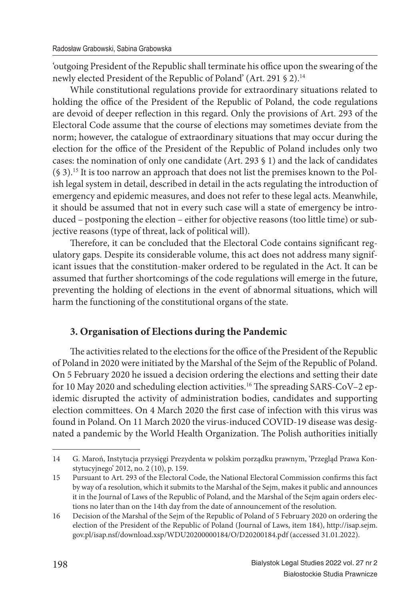'outgoing President of the Republic shall terminate his office upon the swearing of the newly elected President of the Republic of Poland' (Art. 291 § 2).<sup>14</sup>

While constitutional regulations provide for extraordinary situations related to holding the office of the President of the Republic of Poland, the code regulations are devoid of deeper reflection in this regard. Only the provisions of Art. 293 of the Electoral Code assume that the course of elections may sometimes deviate from the norm; however, the catalogue of extraordinary situations that may occur during the election for the office of the President of the Republic of Poland includes only two cases: the nomination of only one candidate (Art. 293 § 1) and the lack of candidates (§ 3).15 It is too narrow an approach that does not list the premises known to the Polish legal system in detail, described in detail in the acts regulating the introduction of emergency and epidemic measures, and does not refer to these legal acts. Meanwhile, it should be assumed that not in every such case will a state of emergency be introduced – postponing the election – either for objective reasons (too little time) or subjective reasons (type of threat, lack of political will).

Therefore, it can be concluded that the Electoral Code contains significant regulatory gaps. Despite its considerable volume, this act does not address many significant issues that the constitution-maker ordered to be regulated in the Act. It can be assumed that further shortcomings of the code regulations will emerge in the future, preventing the holding of elections in the event of abnormal situations, which will harm the functioning of the constitutional organs of the state.

# **3. Organisation of Elections during the Pandemic**

The activities related to the elections for the office of the President of the Republic of Poland in 2020 were initiated by the Marshal of the Sejm of the Republic of Poland. On 5 February 2020 he issued a decision ordering the elections and setting their date for 10 May 2020 and scheduling election activities.<sup>16</sup> The spreading SARS-CoV-2 epidemic disrupted the activity of administration bodies, candidates and supporting election committees. On 4 March 2020 the first case of infection with this virus was found in Poland. On 11 March 2020 the virus-induced COVID-19 disease was designated a pandemic by the World Health Organization. The Polish authorities initially

<sup>14</sup> G. Maroń, Instytucja przysięgi Prezydenta w polskim porządku prawnym, 'Przegląd Prawa Konstytucyjnego' 2012, no. 2 (10), p. 159.

<sup>15</sup> Pursuant to Art. 293 of the Electoral Code, the National Electoral Commission confirms this fact by way of a resolution, which it submits to the Marshal of the Sejm, makes it public and announces it in the Journal of Laws of the Republic of Poland, and the Marshal of the Sejm again orders elections no later than on the 14th day from the date of announcement of the resolution.

<sup>16</sup> Decision of the Marshal of the Sejm of the Republic of Poland of 5 February 2020 on ordering the election of the President of the Republic of Poland (Journal of Laws, item 184), http://isap.sejm. gov.pl/isap.nsf/download.xsp/WDU20200000184/O/D20200184.pdf (accessed 31.01.2022).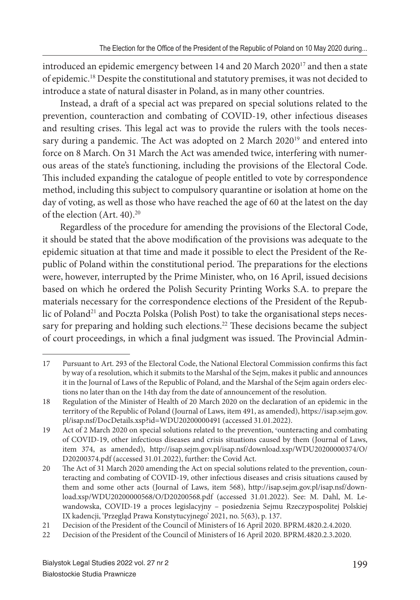introduced an epidemic emergency between 14 and 20 March 2020<sup>17</sup> and then a state of epidemic.<sup>18</sup> Despite the constitutional and statutory premises, it was not decided to introduce a state of natural disaster in Poland, as in many other countries.

Instead, a draft of a special act was prepared on special solutions related to the prevention, counteraction and combating of COVID-19, other infectious diseases and resulting crises. This legal act was to provide the rulers with the tools necessary during a pandemic. The Act was adopted on 2 March 2020<sup>19</sup> and entered into force on 8 March. On 31 March the Act was amended twice, interfering with numerous areas of the state's functioning, including the provisions of the Electoral Code. This included expanding the catalogue of people entitled to vote by correspondence method, including this subject to compulsory quarantine or isolation at home on the day of voting, as well as those who have reached the age of 60 at the latest on the day of the election (Art. 40).<sup>20</sup>

Regardless of the procedure for amending the provisions of the Electoral Code, it should be stated that the above modification of the provisions was adequate to the epidemic situation at that time and made it possible to elect the President of the Republic of Poland within the constitutional period. The preparations for the elections were, however, interrupted by the Prime Minister, who, on 16 April, issued decisions based on which he ordered the Polish Security Printing Works S.A. to prepare the materials necessary for the correspondence elections of the President of the Republic of Poland<sup>21</sup> and Poczta Polska (Polish Post) to take the organisational steps necessary for preparing and holding such elections.<sup>22</sup> These decisions became the subject of court proceedings, in which a final judgment was issued. The Provincial Admin-

<sup>17</sup> Pursuant to Art. 293 of the Electoral Code, the National Electoral Commission confirms this fact by way of a resolution, which it submits to the Marshal of the Sejm, makes it public and announces it in the Journal of Laws of the Republic of Poland, and the Marshal of the Sejm again orders elections no later than on the 14th day from the date of announcement of the resolution.

<sup>18</sup> Regulation of the Minister of Health of 20 March 2020 on the declaration of an epidemic in the territory of the Republic of Poland (Journal of Laws, item 491, as amended), https://isap.sejm.gov. pl/isap.nsf/DocDetails.xsp?id=WDU20200000491 (accessed 31.01.2022).

<sup>19</sup> Act of 2 March 2020 on special solutions related to the prevention, 'ounteracting and combating of COVID-19, other infectious diseases and crisis situations caused by them (Journal of Laws, item 374, as amended), http://isap.sejm.gov.pl/isap.nsf/download.xsp/WDU20200000374/O/ D20200374.pdf (accessed 31.01.2022), further: the Covid Act.

<sup>20</sup> The Act of 31 March 2020 amending the Act on special solutions related to the prevention, counteracting and combating of COVID-19, other infectious diseases and crisis situations caused by them and some other acts (Journal of Laws, item 568), http://isap.sejm.gov.pl/isap.nsf/download.xsp/WDU20200000568/O/D20200568.pdf (accessed 31.01.2022). See: M. Dahl, M. Lewandowska, COVID-19 a proces legislacyjny – posiedzenia Sejmu Rzeczypospolitej Polskiej IX kadencji, 'Przegląd Prawa Konstytucyjnego' 2021, no. 5(63), p. 137.

<sup>21</sup> Decision of the President of the Council of Ministers of 16 April 2020. BPRM.4820.2.4.2020.

<sup>22</sup> Decision of the President of the Council of Ministers of 16 April 2020. BPRM.4820.2.3.2020.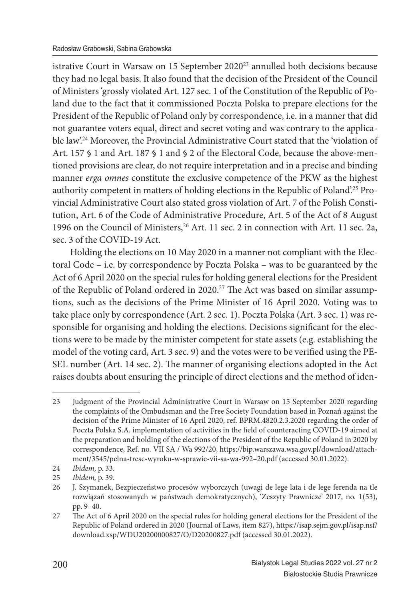istrative Court in Warsaw on 15 September 2020<sup>23</sup> annulled both decisions because they had no legal basis. It also found that the decision of the President of the Council of Ministers 'grossly violated Art. 127 sec. 1 of the Constitution of the Republic of Poland due to the fact that it commissioned Poczta Polska to prepare elections for the President of the Republic of Poland only by correspondence, i.e. in a manner that did not guarantee voters equal, direct and secret voting and was contrary to the applicable law'.<sup>24</sup> Moreover, the Provincial Administrative Court stated that the 'violation of Art. 157 § 1 and Art. 187 § 1 and § 2 of the Electoral Code, because the above-mentioned provisions are clear, do not require interpretation and in a precise and binding manner *erga omnes* constitute the exclusive competence of the PKW as the highest authority competent in matters of holding elections in the Republic of Poland'.25 Provincial Administrative Court also stated gross violation of Art. 7 of the Polish Constitution, Art. 6 of the Code of Administrative Procedure, Art. 5 of the Act of 8 August 1996 on the Council of Ministers,<sup>26</sup> Art. 11 sec. 2 in connection with Art. 11 sec. 2a, sec. 3 of the COVID-19 Act.

Holding the elections on 10 May 2020 in a manner not compliant with the Electoral Code – i.e. by correspondence by Poczta Polska – was to be guaranteed by the Act of 6 April 2020 on the special rules for holding general elections for the President of the Republic of Poland ordered in 2020.<sup>27</sup> The Act was based on similar assumptions, such as the decisions of the Prime Minister of 16 April 2020. Voting was to take place only by correspondence (Art. 2 sec. 1). Poczta Polska (Art. 3 sec. 1) was responsible for organising and holding the elections. Decisions significant for the elections were to be made by the minister competent for state assets (e.g. establishing the model of the voting card, Art. 3 sec. 9) and the votes were to be verified using the PE-SEL number (Art. 14 sec. 2). The manner of organising elections adopted in the Act raises doubts about ensuring the principle of direct elections and the method of iden-

<sup>23</sup> Judgment of the Provincial Administrative Court in Warsaw on 15 September 2020 regarding the complaints of the Ombudsman and the Free Society Foundation based in Poznań against the decision of the Prime Minister of 16 April 2020, ref. BPRM.4820.2.3.2020 regarding the order of Poczta Polska S.A. implementation of activities in the field of counteracting COVID-19 aimed at the preparation and holding of the elections of the President of the Republic of Poland in 2020 by correspondence, Ref. no. VII SA / Wa 992/20, https://bip.warszawa.wsa.gov.pl/download/attachment/3545/pelna-tresc-wyroku-w-sprawie-vii-sa-wa-992–20.pdf (accessed 30.01.2022).

<sup>24</sup> *Ibidem,* p. 33.

<sup>25</sup> *Ibidem,* p. 39.

<sup>26</sup> J. Szymanek, Bezpieczeństwo procesów wyborczych (uwagi de lege lata i de lege ferenda na tle rozwiązań stosowanych w państwach demokratycznych), 'Zeszyty Prawnicze' 2017, no. 1(53), pp. 9–40.

<sup>27</sup> The Act of 6 April 2020 on the special rules for holding general elections for the President of the Republic of Poland ordered in 2020 (Journal of Laws, item 827), https://isap.sejm.gov.pl/isap.nsf/ download.xsp/WDU20200000827/O/D20200827.pdf (accessed 30.01.2022).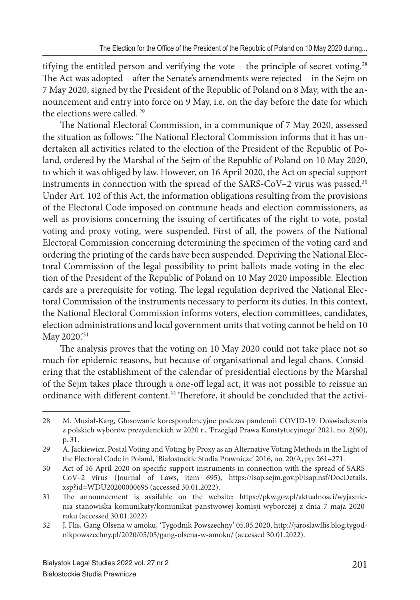tifying the entitled person and verifying the vote – the principle of secret voting.<sup>28</sup> The Act was adopted – after the Senate's amendments were rejected – in the Sejm on 7 May 2020, signed by the President of the Republic of Poland on 8 May, with the announcement and entry into force on 9 May, i.e. on the day before the date for which the elections were called.<sup>29</sup>

The National Electoral Commission, in a communique of 7 May 2020, assessed the situation as follows: 'The National Electoral Commission informs that it has undertaken all activities related to the election of the President of the Republic of Poland, ordered by the Marshal of the Sejm of the Republic of Poland on 10 May 2020, to which it was obliged by law. However, on 16 April 2020, the Act on special support instruments in connection with the spread of the SARS-CoV–2 virus was passed.<sup>30</sup> Under Art. 102 of this Act, the information obligations resulting from the provisions of the Electoral Code imposed on commune heads and election commissioners, as well as provisions concerning the issuing of certificates of the right to vote, postal voting and proxy voting, were suspended. First of all, the powers of the National Electoral Commission concerning determining the specimen of the voting card and ordering the printing of the cards have been suspended. Depriving the National Electoral Commission of the legal possibility to print ballots made voting in the election of the President of the Republic of Poland on 10 May 2020 impossible. Election cards are a prerequisite for voting. The legal regulation deprived the National Electoral Commission of the instruments necessary to perform its duties. In this context, the National Electoral Commission informs voters, election committees, candidates, election administrations and local government units that voting cannot be held on 10 May 2020.'31

The analysis proves that the voting on 10 May 2020 could not take place not so much for epidemic reasons, but because of organisational and legal chaos. Considering that the establishment of the calendar of presidential elections by the Marshal of the Sejm takes place through a one-off legal act, it was not possible to reissue an ordinance with different content.<sup>32</sup> Therefore, it should be concluded that the activi-

<sup>28</sup> M. Musiał-Karg, Głosowanie korespondencyjne podczas pandemii COVID-19. Doświadczenia z polskich wyborów prezydenckich w 2020 r., 'Przegląd Prawa Konstytucyjnego' 2021, no. 2(60), p. 31.

<sup>29</sup> A. Jackiewicz, Postal Voting and Voting by Proxy as an Alternative Voting Methods in the Light of the Electoral Code in Poland, 'Białostockie Studia Prawnicze' 2016, no. 20/A, pp. 261–271.

<sup>30</sup> Act of 16 April 2020 on specifi c support instruments in connection with the spread of SARS-CoV–2 virus (Journal of Laws, item 695), https://isap.sejm.gov.pl/isap.nsf/DocDetails. xsp?id=WDU20200000695 (accessed 30.01.2022).

<sup>31</sup> The announcement is available on the website: https://pkw.gov.pl/aktualnosci/wyjasnienia-stanowiska-komunikaty/komunikat-panstwowej-komisji-wyborczej-z-dnia-7-maja-2020 roku (accessed 30.01.2022).

<sup>32</sup> J. Flis, Gang Olsena w amoku, 'Tygodnik Powszechny' 05.05.2020, http://jaroslawflis.blog.tygodnikpowszechny.pl/2020/05/05/gang-olsena-w-amoku/ (accessed 30.01.2022).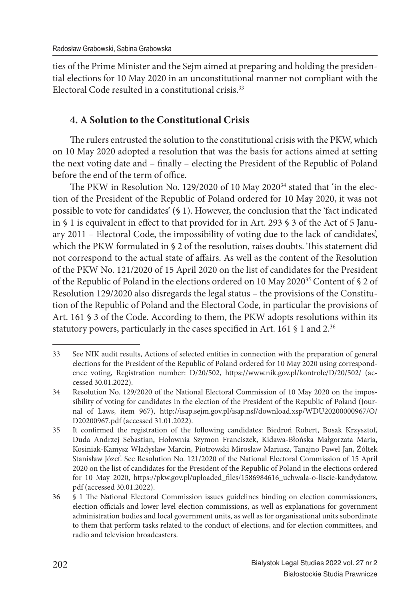ties of the Prime Minister and the Sejm aimed at preparing and holding the presidential elections for 10 May 2020 in an unconstitutional manner not compliant with the Electoral Code resulted in a constitutional crisis. $33$ 

# **4. A Solution to the Constitutional Crisis**

The rulers entrusted the solution to the constitutional crisis with the PKW, which on 10 May 2020 adopted a resolution that was the basis for actions aimed at setting the next voting date and – finally – electing the President of the Republic of Poland before the end of the term of office.

The PKW in Resolution No. 129/2020 of 10 May 2020<sup>34</sup> stated that 'in the election of the President of the Republic of Poland ordered for 10 May 2020, it was not possible to vote for candidates' (§ 1). However, the conclusion that the 'fact indicated in § 1 is equivalent in effect to that provided for in Art. 293 § 3 of the Act of 5 January 2011 – Electoral Code, the impossibility of voting due to the lack of candidates', which the PKW formulated in  $\S 2$  of the resolution, raises doubts. This statement did not correspond to the actual state of affairs. As well as the content of the Resolution of the PKW No. 121/2020 of 15 April 2020 on the list of candidates for the President of the Republic of Poland in the elections ordered on 10 May 2020<sup>35</sup> Content of § 2 of Resolution 129/2020 also disregards the legal status – the provisions of the Constitution of the Republic of Poland and the Electoral Code, in particular the provisions of Art. 161 § 3 of the Code. According to them, the PKW adopts resolutions within its statutory powers, particularly in the cases specified in Art. 161  $$1$  and 2.<sup>36</sup>

<sup>33</sup> See NIK audit results, Actions of selected entities in connection with the preparation of general elections for the President of the Republic of Poland ordered for 10 May 2020 using correspondence voting, Registration number: D/20/502, https://www.nik.gov.pl/kontrole/D/20/502/ (accessed 30.01.2022).

<sup>34</sup> Resolution No. 129/2020 of the National Electoral Commission of 10 May 2020 on the impossibility of voting for candidates in the election of the President of the Republic of Poland (Journal of Laws, item 967), http://isap.sejm.gov.pl/isap.nsf/download.xsp/WDU20200000967/O/ D20200967.pdf (accessed 31.01.2022).

<sup>35</sup> It confirmed the registration of the following candidates: Biedroń Robert, Bosak Krzysztof, Duda Andrzej Sebastian, Hołownia Szymon Franciszek, Kidawa-Błońska Małgorzata Maria, Kosiniak-Kamysz Władysław Marcin, Piotrowski Mirosław Mariusz, Tanajno Paweł Jan, Żółtek Stanisław Józef. See Resolution No. 121/2020 of the National Electoral Commission of 15 April 2020 on the list of candidates for the President of the Republic of Poland in the elections ordered for 10 May 2020, https://pkw.gov.pl/uploaded\_files/1586984616\_uchwala-o-liscie-kandydatow. pdf (accessed 30.01.2022).

<sup>36 § 1</sup> The National Electoral Commission issues guidelines binding on election commissioners, election officials and lower-level election commissions, as well as explanations for government administration bodies and local government units, as well as for organisational units subordinate to them that perform tasks related to the conduct of elections, and for election committees, and radio and television broadcasters.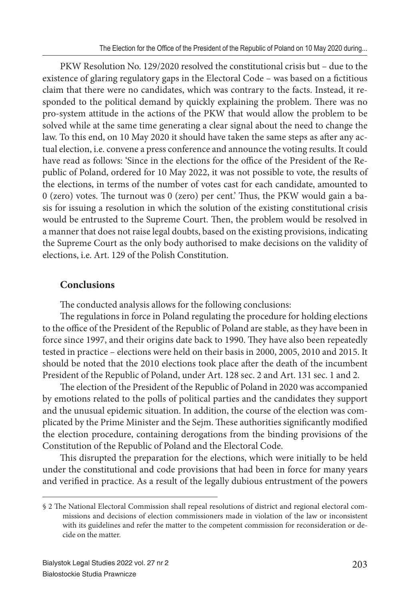PKW Resolution No. 129/2020 resolved the constitutional crisis but – due to the existence of glaring regulatory gaps in the Electoral Code – was based on a fictitious claim that there were no candidates, which was contrary to the facts. Instead, it responded to the political demand by quickly explaining the problem. There was no pro-system attitude in the actions of the PKW that would allow the problem to be solved while at the same time generating a clear signal about the need to change the law. To this end, on 10 May 2020 it should have taken the same steps as after any actual election, i.e. convene a press conference and announce the voting results. It could have read as follows: 'Since in the elections for the office of the President of the Republic of Poland, ordered for 10 May 2022, it was not possible to vote, the results of the elections, in terms of the number of votes cast for each candidate, amounted to 0 (zero) votes. The turnout was 0 (zero) per cent.' Thus, the PKW would gain a basis for issuing a resolution in which the solution of the existing constitutional crisis would be entrusted to the Supreme Court. Then, the problem would be resolved in a manner that does not raise legal doubts, based on the existing provisions, indicating the Supreme Court as the only body authorised to make decisions on the validity of elections, i.e. Art. 129 of the Polish Constitution.

### **Conclusions**

The conducted analysis allows for the following conclusions:

The regulations in force in Poland regulating the procedure for holding elections to the office of the President of the Republic of Poland are stable, as they have been in force since 1997, and their origins date back to 1990. They have also been repeatedly tested in practice – elections were held on their basis in 2000, 2005, 2010 and 2015. It should be noted that the 2010 elections took place after the death of the incumbent President of the Republic of Poland, under Art. 128 sec. 2 and Art. 131 sec. 1 and 2.

The election of the President of the Republic of Poland in 2020 was accompanied by emotions related to the polls of political parties and the candidates they support and the unusual epidemic situation. In addition, the course of the election was complicated by the Prime Minister and the Sejm. These authorities significantly modified the election procedure, containing derogations from the binding provisions of the Constitution of the Republic of Poland and the Electoral Code.

This disrupted the preparation for the elections, which were initially to be held under the constitutional and code provisions that had been in force for many years and verified in practice. As a result of the legally dubious entrustment of the powers

<sup>§ 2</sup> The National Electoral Commission shall repeal resolutions of district and regional electoral commissions and decisions of election commissioners made in violation of the law or inconsistent with its guidelines and refer the matter to the competent commission for reconsideration or decide on the matter.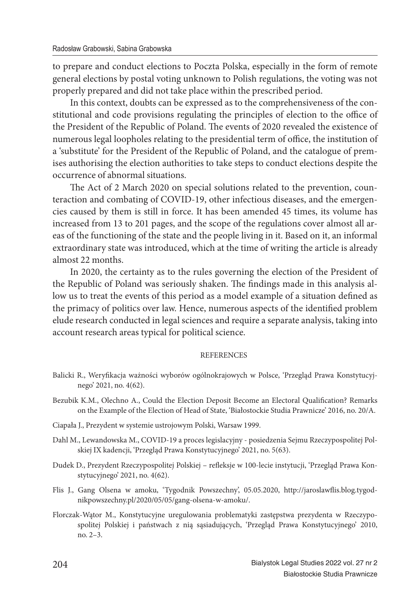to prepare and conduct elections to Poczta Polska, especially in the form of remote general elections by postal voting unknown to Polish regulations, the voting was not properly prepared and did not take place within the prescribed period.

In this context, doubts can be expressed as to the comprehensiveness of the constitutional and code provisions regulating the principles of election to the office of the President of the Republic of Poland. The events of 2020 revealed the existence of numerous legal loopholes relating to the presidential term of office, the institution of a 'substitute' for the President of the Republic of Poland, and the catalogue of premises authorising the election authorities to take steps to conduct elections despite the occurrence of abnormal situations.

The Act of 2 March 2020 on special solutions related to the prevention, counteraction and combating of COVID-19, other infectious diseases, and the emergencies caused by them is still in force. It has been amended 45 times, its volume has increased from 13 to 201 pages, and the scope of the regulations cover almost all areas of the functioning of the state and the people living in it. Based on it, an informal extraordinary state was introduced, which at the time of writing the article is already almost 22 months.

In 2020, the certainty as to the rules governing the election of the President of the Republic of Poland was seriously shaken. The findings made in this analysis allow us to treat the events of this period as a model example of a situation defined as the primacy of politics over law. Hence, numerous aspects of the identified problem elude research conducted in legal sciences and require a separate analysis, taking into account research areas typical for political science.

#### REFERENCES

- Balicki R., Weryfikacja ważności wyborów ogólnokrajowych w Polsce, 'Przegląd Prawa Konstytucyjnego' 2021, no. 4(62).
- Bezubik K.M., Olechno A., Could the Election Deposit Become an Electoral Qualification? Remarks on the Example of the Election of Head of State, 'Białostockie Studia Prawnicze' 2016, no. 20/A.
- Ciapała J., Prezydent w systemie ustrojowym Polski, Warsaw 1999.
- Dahl M., Lewandowska M., COVID-19 a proces legislacyjny posiedzenia Sejmu Rzeczypospolitej Polskiej IX kadencji, 'Przegląd Prawa Konstytucyjnego' 2021, no. 5(63).
- Dudek D., Prezydent Rzeczypospolitej Polskiej refleksje w 100-lecie instytucji, 'Przegląd Prawa Konstytucyjnego' 2021, no. 4(62).
- Flis J., Gang Olsena w amoku, 'Tygodnik Powszechny', 05.05.2020, http://jaroslawflis.blog.tygodnikpowszechny.pl/2020/05/05/gang-olsena-w-amoku/.
- Florczak-Wątor M., Konstytucyjne uregulowania problematyki zastępstwa prezydenta w Rzeczypospolitej Polskiej i państwach z nią sąsiadujących, 'Przegląd Prawa Konstytucyjnego' 2010, no. 2–3.